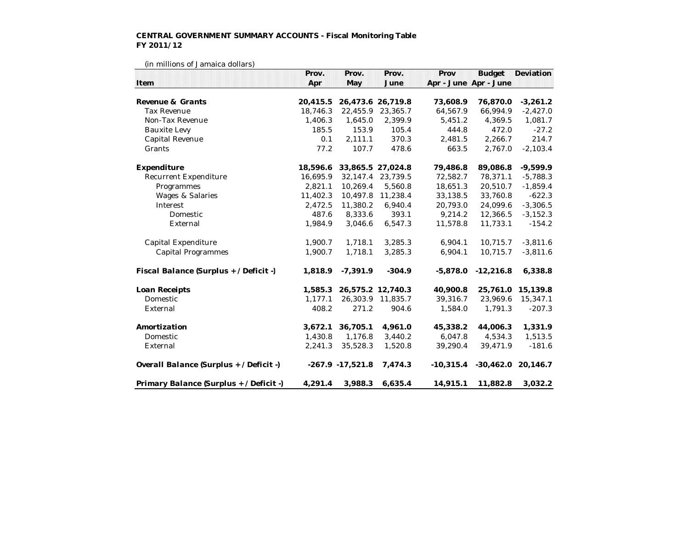## **CENTRAL GOVERNMENT SUMMARY ACCOUNTS - Fiscal Monitoring Table FY 2011/12**

| (III IIIIIIIOIIS OI Jaillaica Goliais)  | Prov.    | Prov.               | Prov.             | Prov                  | <b>Budget</b> | Deviation            |
|-----------------------------------------|----------|---------------------|-------------------|-----------------------|---------------|----------------------|
| Item                                    | Apr      | May                 | June              | Apr - June Apr - June |               |                      |
| Revenue & Grants                        | 20,415.5 |                     | 26,473.6 26,719.8 | 73,608.9              | 76,870.0      | $-3,261.2$           |
| <b>Tax Revenue</b>                      | 18,746.3 | 22,455.9            | 23,365.7          | 64,567.9              | 66,994.9      | $-2,427.0$           |
| Non-Tax Revenue                         | 1,406.3  | 1,645.0             | 2,399.9           | 5,451.2               | 4,369.5       | 1,081.7              |
| <b>Bauxite Levy</b>                     | 185.5    | 153.9               | 105.4             | 444.8                 | 472.0         | $-27.2$              |
| Capital Revenue                         | 0.1      | 2,111.1             | 370.3             | 2,481.5               | 2,266.7       | 214.7                |
| Grants                                  | 77.2     | 107.7               | 478.6             | 663.5                 | 2,767.0       | $-2,103.4$           |
| Expenditure                             | 18,596.6 | 33,865.5 27,024.8   |                   | 79,486.8              | 89,086.8      | $-9,599.9$           |
| Recurrent Expenditure                   | 16,695.9 | 32,147.4            | 23,739.5          | 72,582.7              | 78,371.1      | $-5,788.3$           |
| Programmes                              | 2,821.1  | 10,269.4            | 5,560.8           | 18,651.3              | 20,510.7      | $-1,859.4$           |
| Wages & Salaries                        | 11,402.3 | 10,497.8            | 11,238.4          | 33,138.5              | 33,760.8      | $-622.3$             |
| Interest                                | 2,472.5  | 11,380.2            | 6,940.4           | 20,793.0              | 24,099.6      | $-3,306.5$           |
| Domestic                                | 487.6    | 8,333.6             | 393.1             | 9,214.2               | 12,366.5      | $-3,152.3$           |
| External                                | 1,984.9  | 3,046.6             | 6,547.3           | 11,578.8              | 11,733.1      | $-154.2$             |
| Capital Expenditure                     | 1,900.7  | 1,718.1             | 3,285.3           | 6,904.1               | 10,715.7      | $-3,811.6$           |
| <b>Capital Programmes</b>               | 1,900.7  | 1,718.1             | 3,285.3           | 6,904.1               | 10,715.7      | $-3,811.6$           |
| Fiscal Balance (Surplus + / Deficit -)  | 1,818.9  | $-7,391.9$          | $-304.9$          | $-5,878.0$            | $-12,216.8$   | 6,338.8              |
| Loan Receipts                           | 1,585.3  |                     | 26,575.2 12,740.3 | 40,900.8              | 25,761.0      | 15,139.8             |
| Domestic                                | 1,177.1  | 26,303.9            | 11,835.7          | 39,316.7              | 23,969.6      | 15,347.1             |
| External                                | 408.2    | 271.2               | 904.6             | 1,584.0               | 1,791.3       | $-207.3$             |
| Amortization                            | 3,672.1  | 36,705.1            | 4,961.0           | 45,338.2              | 44,006.3      | 1,331.9              |
| Domestic                                | 1,430.8  | 1,176.8             | 3,440.2           | 6,047.8               | 4,534.3       | 1,513.5              |
| External                                | 2,241.3  | 35,528.3            | 1,520.8           | 39,290.4              | 39,471.9      | $-181.6$             |
| Overall Balance (Surplus + / Deficit -) |          | $-267.9 - 17,521.8$ | 7,474.3           | $-10,315.4$           |               | $-30,462.0$ 20,146.7 |
| Primary Balance (Surplus + / Deficit -) | 4,291.4  | 3,988.3             | 6,635.4           | 14,915.1              | 11,882.8      | 3,032.2              |

(in millions of Jamaica dollars)